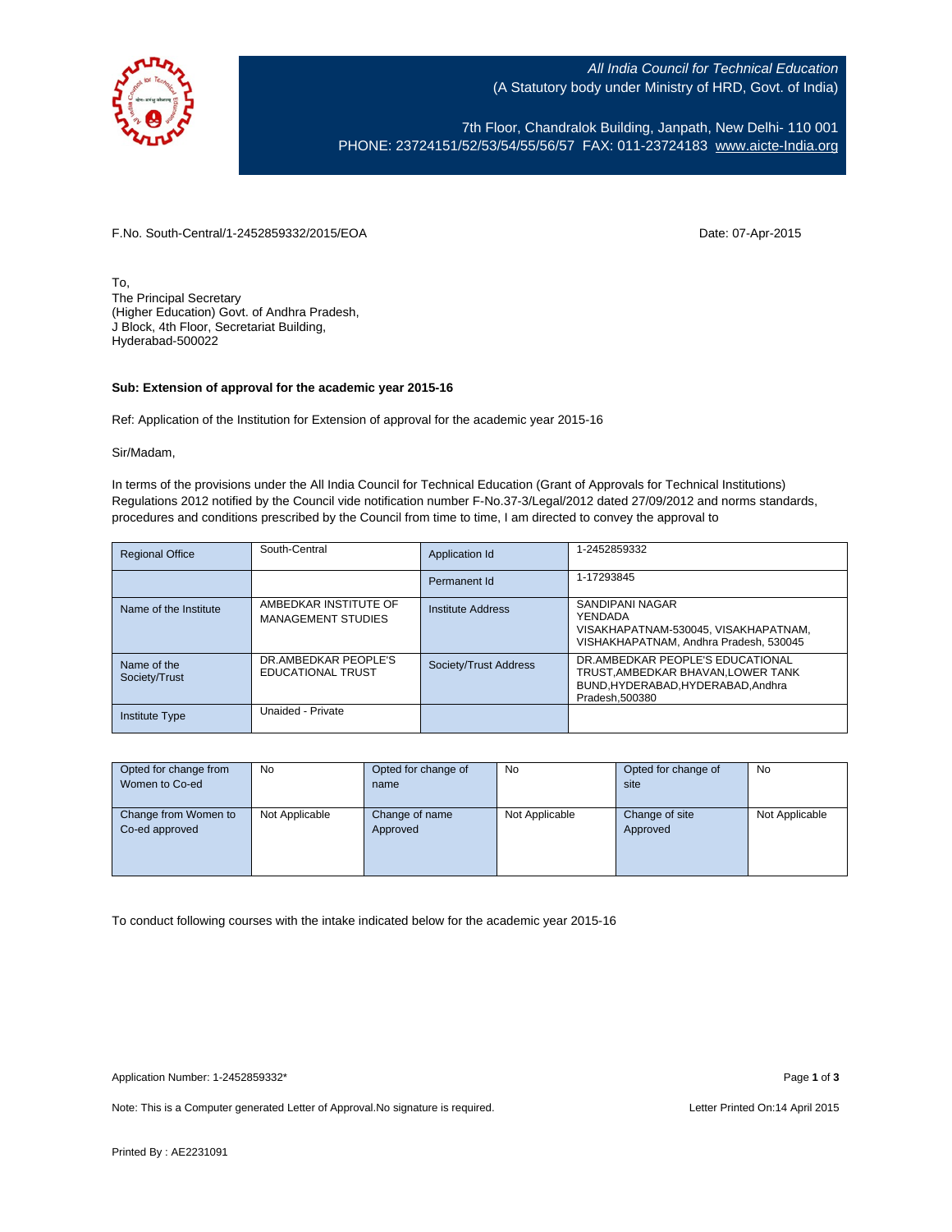

All India Council for Technical Education (A Statutory body under Ministry of HRD, Govt. of India)

7th Floor, Chandralok Building, Janpath, New Delhi- 110 001 PHONE: 23724151/52/53/54/55/56/57 FAX: 011-23724183 [www.aicte-India.org](http://www.aicte-india.org/)

F.No. South-Central/1-2452859332/2015/EOA Date: 07-Apr-2015

To, The Principal Secretary (Higher Education) Govt. of Andhra Pradesh, J Block, 4th Floor, Secretariat Building, Hyderabad-500022

## **Sub: Extension of approval for the academic year 2015-16**

Ref: Application of the Institution for Extension of approval for the academic year 2015-16

## Sir/Madam,

In terms of the provisions under the All India Council for Technical Education (Grant of Approvals for Technical Institutions) Regulations 2012 notified by the Council vide notification number F-No.37-3/Legal/2012 dated 27/09/2012 and norms standards, procedures and conditions prescribed by the Council from time to time, I am directed to convey the approval to

| <b>Regional Office</b>       | South-Central                                      | Application Id           | 1-2452859332                                                                                                                  |
|------------------------------|----------------------------------------------------|--------------------------|-------------------------------------------------------------------------------------------------------------------------------|
|                              |                                                    | Permanent Id             | 1-17293845                                                                                                                    |
| Name of the Institute        | AMBEDKAR INSTITUTE OF<br><b>MANAGEMENT STUDIES</b> | <b>Institute Address</b> | SANDIPANI NAGAR<br>YENDADA<br>VISAKHAPATNAM-530045. VISAKHAPATNAM.<br>VISHAKHAPATNAM, Andhra Pradesh, 530045                  |
| Name of the<br>Society/Trust | DR.AMBEDKAR PEOPLE'S<br>EDUCATIONAL TRUST          | Society/Trust Address    | DR.AMBEDKAR PEOPLE'S EDUCATIONAL<br>TRUST.AMBEDKAR BHAVAN.LOWER TANK<br>BUND, HYDERABAD, HYDERABAD, Andhra<br>Pradesh, 500380 |
| <b>Institute Type</b>        | Unaided - Private                                  |                          |                                                                                                                               |

| Opted for change from | <b>No</b>      | Opted for change of | <b>No</b>      | Opted for change of | <b>No</b>      |
|-----------------------|----------------|---------------------|----------------|---------------------|----------------|
| Women to Co-ed        |                | name                |                | site                |                |
|                       |                |                     |                |                     |                |
| Change from Women to  | Not Applicable | Change of name      | Not Applicable | Change of site      | Not Applicable |
| Co-ed approved        |                | Approved            |                | Approved            |                |
|                       |                |                     |                |                     |                |
|                       |                |                     |                |                     |                |
|                       |                |                     |                |                     |                |

To conduct following courses with the intake indicated below for the academic year 2015-16

Note: This is a Computer generated Letter of Approval. No signature is required. Letter Printed On:14 April 2015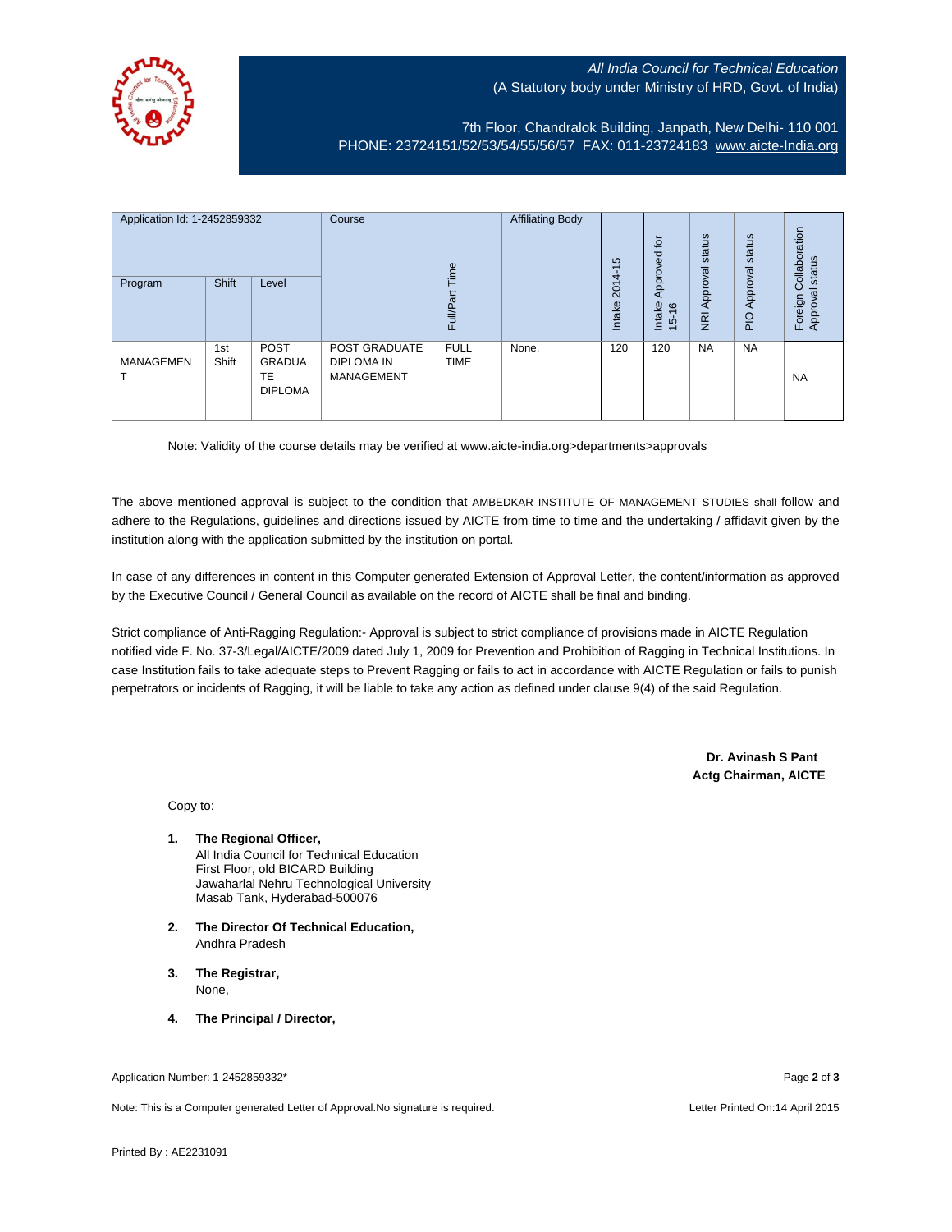## All India Council for Technical Education (A Statutory body under Ministry of HRD, Govt. of India)



7th Floor, Chandralok Building, Janpath, New Delhi- 110 001 PHONE: 23724151/52/53/54/55/56/57 FAX: 011-23724183 [www.aicte-India.org](http://www.aicte-india.org/)

| Application Id: 1-2452859332<br>Program | <b>Shift</b> | Level                                         | Course                                                  | Time<br><b>Full/Part</b>   | <b>Affiliating Body</b> | S<br>$\overline{\phantom{0}}$<br>$2014-$<br>Intake | 흐<br>g<br>Approve<br>Intake<br>$\frac{6}{2}$<br>$\frac{1}{2}$ | status<br>Approval<br>$\overline{g}$ | status<br>Approval<br>$\frac{1}{2}$ | Collaboration<br>status<br>Approval<br>Foreign |
|-----------------------------------------|--------------|-----------------------------------------------|---------------------------------------------------------|----------------------------|-------------------------|----------------------------------------------------|---------------------------------------------------------------|--------------------------------------|-------------------------------------|------------------------------------------------|
| <b>MANAGEMEN</b>                        | 1st<br>Shift | <b>POST</b><br>GRADUA<br>TE<br><b>DIPLOMA</b> | POST GRADUATE<br><b>DIPLOMA IN</b><br><b>MANAGEMENT</b> | <b>FULL</b><br><b>TIME</b> | None,                   | 120                                                | 120                                                           | <b>NA</b>                            | <b>NA</b>                           | <b>NA</b>                                      |

Note: Validity of the course details may be verified at www.aicte-india.org>departments>approvals

The above mentioned approval is subject to the condition that AMBEDKAR INSTITUTE OF MANAGEMENT STUDIES shall follow and adhere to the Regulations, guidelines and directions issued by AICTE from time to time and the undertaking / affidavit given by the institution along with the application submitted by the institution on portal.

In case of any differences in content in this Computer generated Extension of Approval Letter, the content/information as approved by the Executive Council / General Council as available on the record of AICTE shall be final and binding.

Strict compliance of Anti-Ragging Regulation:- Approval is subject to strict compliance of provisions made in AICTE Regulation notified vide F. No. 37-3/Legal/AICTE/2009 dated July 1, 2009 for Prevention and Prohibition of Ragging in Technical Institutions. In case Institution fails to take adequate steps to Prevent Ragging or fails to act in accordance with AICTE Regulation or fails to punish perpetrators or incidents of Ragging, it will be liable to take any action as defined under clause 9(4) of the said Regulation.

> **Dr. Avinash S Pant Actg Chairman, AICTE**

Copy to:

- **1. The Regional Officer,** All India Council for Technical Education First Floor, old BICARD Building Jawaharlal Nehru Technological University Masab Tank, Hyderabad-500076
- **2. The Director Of Technical Education,** Andhra Pradesh
- **3. The Registrar,** None,
- **4. The Principal / Director,**

Note: This is a Computer generated Letter of Approval.No signature is required. Letter According the state of the United On:14 April 2015